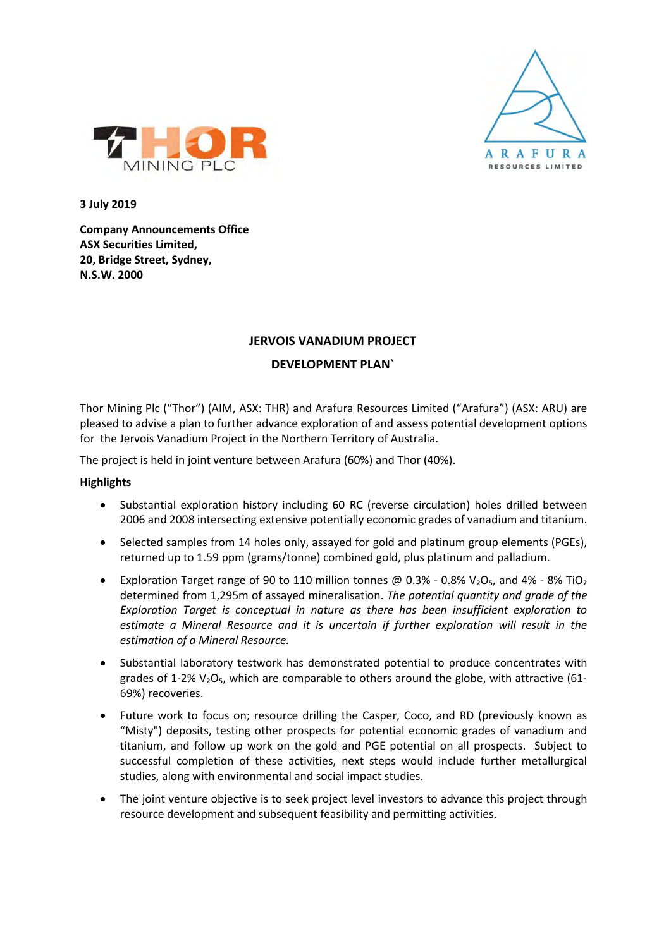



**3 July 2019**

**Company Announcements Office ASX Securities Limited, 20, Bridge Street, Sydney, N.S.W. 2000**

#### **JERVOIS VANADIUM PROJECT**

#### **DEVELOPMENT PLAN`**

Thor Mining Plc ("Thor") (AIM, ASX: THR) and Arafura Resources Limited ("Arafura") (ASX: ARU) are pleased to advise a plan to further advance exploration of and assess potential development options for the Jervois Vanadium Project in the Northern Territory of Australia.

The project is held in joint venture between Arafura (60%) and Thor (40%).

#### **Highlights**

- Substantial exploration history including 60 RC (reverse circulation) holes drilled between 2006 and 2008 intersecting extensive potentially economic grades of vanadium and titanium.
- Selected samples from 14 holes only, assayed for gold and platinum group elements (PGEs), returned up to 1.59 ppm (grams/tonne) combined gold, plus platinum and palladium.
- Exploration Target range of 90 to 110 million tonnes @ 0.3% 0.8%  $V_2O_5$ , and 4% 8% TiO<sub>2</sub> determined from 1,295m of assayed mineralisation. *The potential quantity and grade of the Exploration Target is conceptual in nature as there has been insufficient exploration to estimate a Mineral Resource and it is uncertain if further exploration will result in the estimation of a Mineral Resource.*
- Substantial laboratory testwork has demonstrated potential to produce concentrates with grades of 1-2%  $V_2O_5$ , which are comparable to others around the globe, with attractive (61-69%) recoveries.
- Future work to focus on; resource drilling the Casper, Coco, and RD (previously known as "Misty") deposits, testing other prospects for potential economic grades of vanadium and titanium, and follow up work on the gold and PGE potential on all prospects. Subject to successful completion of these activities, next steps would include further metallurgical studies, along with environmental and social impact studies.
- The joint venture objective is to seek project level investors to advance this project through resource development and subsequent feasibility and permitting activities.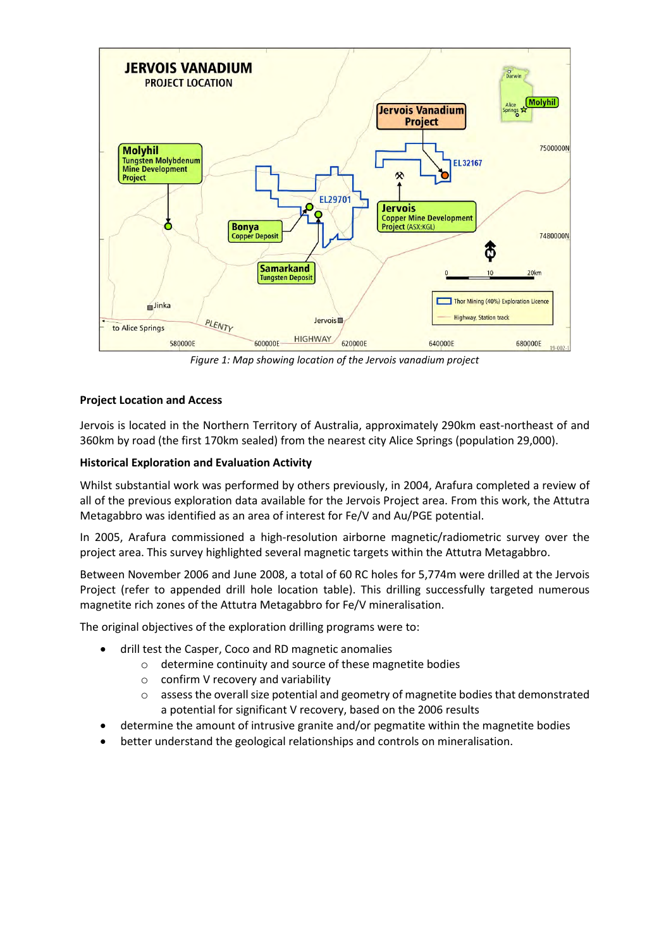

*Figure 1: Map showing location of the Jervois vanadium project*

#### **Project Location and Access**

Jervois is located in the Northern Territory of Australia, approximately 290km east-northeast of and 360km by road (the first 170km sealed) from the nearest city Alice Springs (population 29,000).

#### **Historical Exploration and Evaluation Activity**

Whilst substantial work was performed by others previously, in 2004, Arafura completed a review of all of the previous exploration data available for the Jervois Project area. From this work, the Attutra Metagabbro was identified as an area of interest for Fe/V and Au/PGE potential.

In 2005, Arafura commissioned a high-resolution airborne magnetic/radiometric survey over the project area. This survey highlighted several magnetic targets within the Attutra Metagabbro.

Between November 2006 and June 2008, a total of 60 RC holes for 5,774m were drilled at the Jervois Project (refer to appended drill hole location table). This drilling successfully targeted numerous magnetite rich zones of the Attutra Metagabbro for Fe/V mineralisation.

The original objectives of the exploration drilling programs were to:

- drill test the Casper, Coco and RD magnetic anomalies
	- o determine continuity and source of these magnetite bodies
	- $\circ$  confirm V recovery and variability
	- $\circ$  assess the overall size potential and geometry of magnetite bodies that demonstrated a potential for significant V recovery, based on the 2006 results
- determine the amount of intrusive granite and/or pegmatite within the magnetite bodies
- better understand the geological relationships and controls on mineralisation.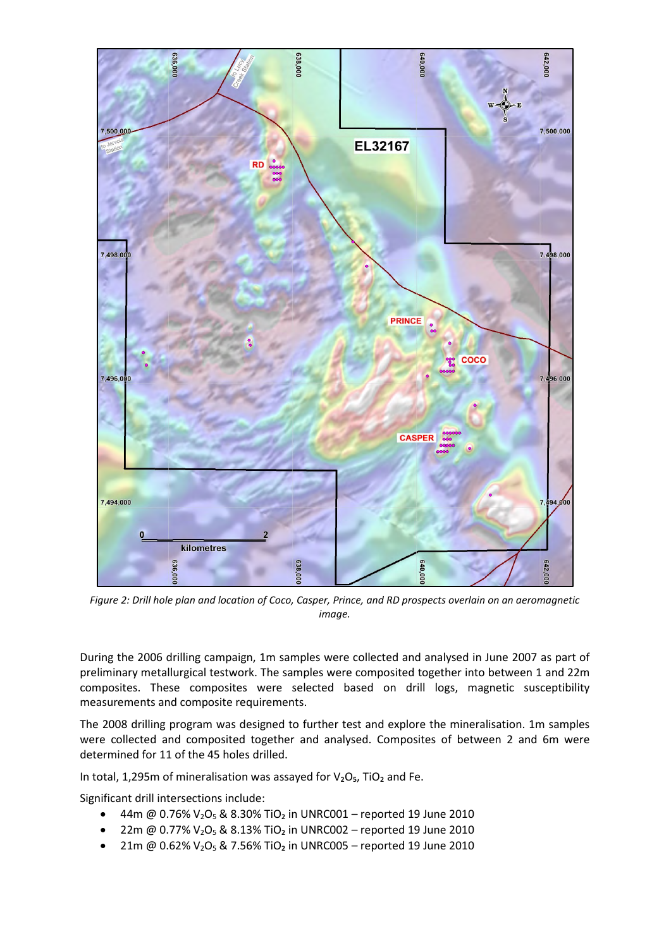

*Figure 2: Drill hole plan and location of Coco, Casper, Prince, and RD prospects overlain on an aeromagnetic image.* 

During the 2006 drilling campaign, 1m samples were collected and analysed in June 2007 as part of preliminary metallurgical testwork. The samples were composited together into between 1 and 22m composites. These composites were selected based on drill logs, magnetic susceptibility measurements and composite requirements.

The 2008 drilling program was designed to further test and explore the mineralisation. 1m samples were collected and composited together and analysed. Composites of between 2 and 6m were determined for 11 of the 45 holes drilled.

In total, 1,295m of mineralisation was assayed for  $V<sub>2</sub>O<sub>5</sub>$ , TiO<sub>2</sub> and Fe.

Significant drill intersections include:

- 44m @ 0.76%  $V_2O_5$  & 8.30% TiO<sub>2</sub> in UNRC001 reported 19 June 2010
- 22m @ 0.77%  $V_2O_5$  & 8.13% TiO<sub>2</sub> in UNRC002 reported 19 June 2010
- 21m @  $0.62\%$  V<sub>2</sub>O<sub>5</sub> & 7.56% TiO<sub>2</sub> in UNRC005 reported 19 June 2010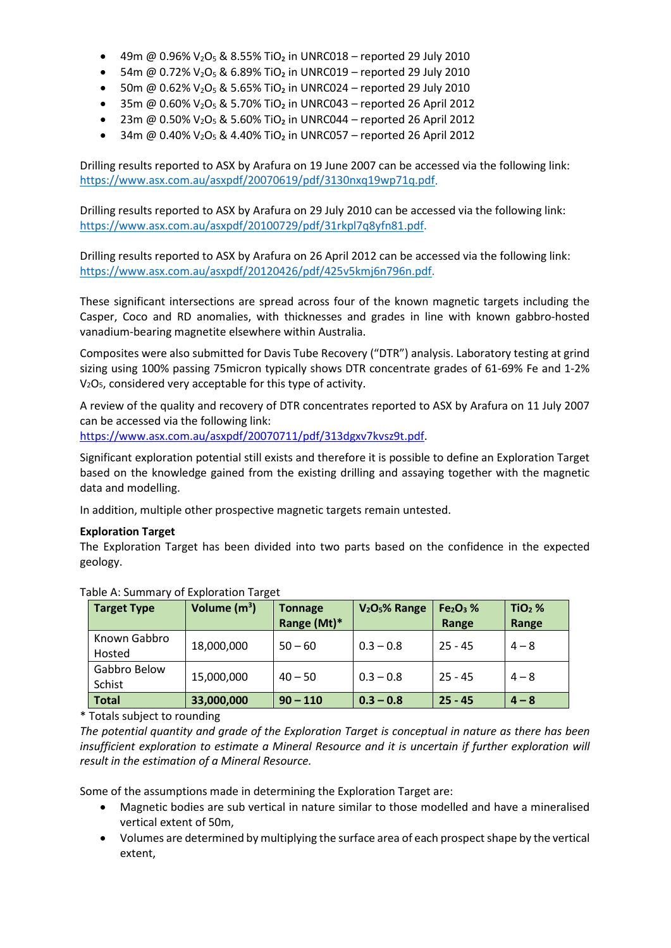- 49m @ 0.96%  $V_2O_5$  & 8.55% TiO<sub>2</sub> in UNRC018 reported 29 July 2010
- 54m @ 0.72%  $V_2O_5$  & 6.89% TiO<sub>2</sub> in UNRC019 reported 29 July 2010
- 50m @  $0.62\%$  V<sub>2</sub>O<sub>5</sub> & 5.65% TiO<sub>2</sub> in UNRC024 reported 29 July 2010
- 35m @ 0.60%  $V_2O_5$  & 5.70% TiO<sub>2</sub> in UNRC043 reported 26 April 2012
- 23m @ 0.50% V<sub>2</sub>O<sub>5</sub> & 5.60% TiO<sub>2</sub> in UNRC044 reported 26 April 2012
- 34m @ 0.40%  $V_2O_5$  & 4.40% TiO<sub>2</sub> in UNRC057 reported 26 April 2012

Drilling results reported to ASX by Arafura on 19 June 2007 can be accessed via the following link: [https://www.asx.com.au/asxpdf/20070619/pdf/3130nxq19wp71q.pdf.](https://www.asx.com.au/asxpdf/20070619/pdf/3130nxq19wp71q.pdf)

Drilling results reported to ASX by Arafura on 29 July 2010 can be accessed via the following link: [https://www.asx.com.au/asxpdf/20100729/pdf/31rkpl7q8yfn81.pdf.](https://www.asx.com.au/asxpdf/20100729/pdf/31rkpl7q8yfn81.pdf)

Drilling results reported to ASX by Arafura on 26 April 2012 can be accessed via the following link: [https://www.asx.com.au/asxpdf/20120426/pdf/425v5kmj6n796n.pdf.](https://www.asx.com.au/asxpdf/20120426/pdf/425v5kmj6n796n.pdf)

These significant intersections are spread across four of the known magnetic targets including the Casper, Coco and RD anomalies, with thicknesses and grades in line with known gabbro-hosted vanadium-bearing magnetite elsewhere within Australia.

Composites were also submitted for Davis Tube Recovery ("DTR") analysis. Laboratory testing at grind sizing using 100% passing 75micron typically shows DTR concentrate grades of 61-69% Fe and 1-2% V2O5, considered very acceptable for this type of activity.

A review of the quality and recovery of DTR concentrates reported to ASX by Arafura on 11 July 2007 can be accessed via the following link:

[https://www.asx.com.au/asxpdf/20070711/pdf/313dgxv7kvsz9t.pdf.](https://www.asx.com.au/asxpdf/20070711/pdf/313dgxv7kvsz9t.pdf)

Significant exploration potential still exists and therefore it is possible to define an Exploration Target based on the knowledge gained from the existing drilling and assaying together with the magnetic data and modelling.

In addition, multiple other prospective magnetic targets remain untested.

#### **Exploration Target**

The Exploration Target has been divided into two parts based on the confidence in the expected geology.

| <b>Target Type</b>     | Volume $(m^3)$ | <b>Tonnage</b><br>Range (Mt)* | V <sub>2</sub> O <sub>5</sub> % Range | $Fe2O3$ %<br>Range | $TiO2$ %<br>Range |
|------------------------|----------------|-------------------------------|---------------------------------------|--------------------|-------------------|
| Known Gabbro<br>Hosted | 18,000,000     | $50 - 60$                     | $0.3 - 0.8$                           | $25 - 45$          | $4 - 8$           |
| Gabbro Below<br>Schist | 15,000,000     | $40 - 50$                     | $0.3 - 0.8$                           | $25 - 45$          | $4 - 8$           |
| <b>Total</b>           | 33,000,000     | $90 - 110$                    | $0.3 - 0.8$                           | $25 - 45$          | $4 - 8$           |

#### Table A: Summary of Exploration Target

\* Totals subject to rounding

*The potential quantity and grade of the Exploration Target is conceptual in nature as there has been insufficient exploration to estimate a Mineral Resource and it is uncertain if further exploration will result in the estimation of a Mineral Resource.* 

Some of the assumptions made in determining the Exploration Target are:

- Magnetic bodies are sub vertical in nature similar to those modelled and have a mineralised vertical extent of 50m,
- Volumes are determined by multiplying the surface area of each prospect shape by the vertical extent,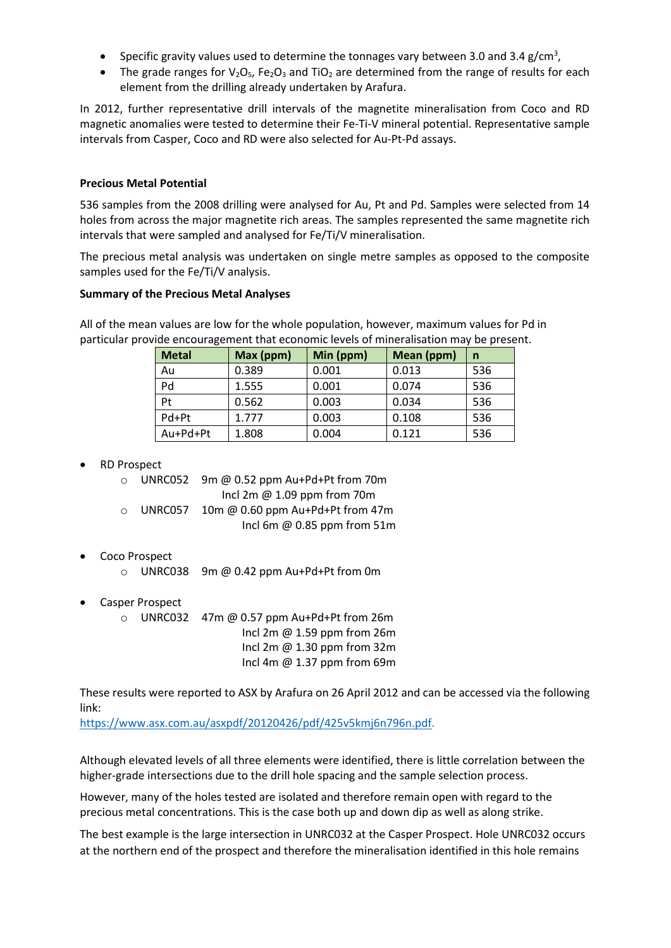- Specific gravity values used to determine the tonnages vary between 3.0 and 3.4 g/cm<sup>3</sup>,
- The grade ranges for  $V_2O_5$ , Fe<sub>2</sub>O<sub>3</sub> and TiO<sub>2</sub> are determined from the range of results for each element from the drilling already undertaken by Arafura.

In 2012, further representative drill intervals of the magnetite mineralisation from Coco and RD magnetic anomalies were tested to determine their Fe-Ti-V mineral potential. Representative sample intervals from Casper, Coco and RD were also selected for Au-Pt-Pd assays.

#### **Precious Metal Potential**

536 samples from the 2008 drilling were analysed for Au, Pt and Pd. Samples were selected from 14 holes from across the major magnetite rich areas. The samples represented the same magnetite rich intervals that were sampled and analysed for Fe/Ti/V mineralisation.

The precious metal analysis was undertaken on single metre samples as opposed to the composite samples used for the Fe/Ti/V analysis.

#### **Summary of the Precious Metal Analyses**

All of the mean values are low for the whole population, however, maximum values for Pd in particular provide encouragement that economic levels of mineralisation may be present.

| <b>Metal</b> | Max (ppm) | Min (ppm) | Mean (ppm) | n   |
|--------------|-----------|-----------|------------|-----|
| Au           | 0.389     | 0.001     | 0.013      | 536 |
| Pd           | 1.555     | 0.001     | 0.074      | 536 |
| Pt           | 0.562     | 0.003     | 0.034      | 536 |
| Pd+Pt        | 1.777     | 0.003     | 0.108      | 536 |
| Au+Pd+Pt     | 1.808     | 0.004     | 0.121      | 536 |

#### • RD Prospect

o UNRC052 9m @ 0.52 ppm Au+Pd+Pt from 70m

Incl 2m @ 1.09 ppm from 70m

- o UNRC057 10m @ 0.60 ppm Au+Pd+Pt from 47m Incl 6m @ 0.85 ppm from 51m
- Coco Prospect
	- o UNRC038 9m @ 0.42 ppm Au+Pd+Pt from 0m
- Casper Prospect
	- o UNRC032 47m @ 0.57 ppm Au+Pd+Pt from 26m Incl 2m @ 1.59 ppm from 26m Incl 2m @ 1.30 ppm from 32m Incl 4m @ 1.37 ppm from 69m

These results were reported to ASX by Arafura on 26 April 2012 and can be accessed via the following link:

[https://www.asx.com.au/asxpdf/20120426/pdf/425v5kmj6n796n.pdf.](https://www.asx.com.au/asxpdf/20120426/pdf/425v5kmj6n796n.pdf)

Although elevated levels of all three elements were identified, there is little correlation between the higher-grade intersections due to the drill hole spacing and the sample selection process.

However, many of the holes tested are isolated and therefore remain open with regard to the precious metal concentrations. This is the case both up and down dip as well as along strike.

The best example is the large intersection in UNRC032 at the Casper Prospect. Hole UNRC032 occurs at the northern end of the prospect and therefore the mineralisation identified in this hole remains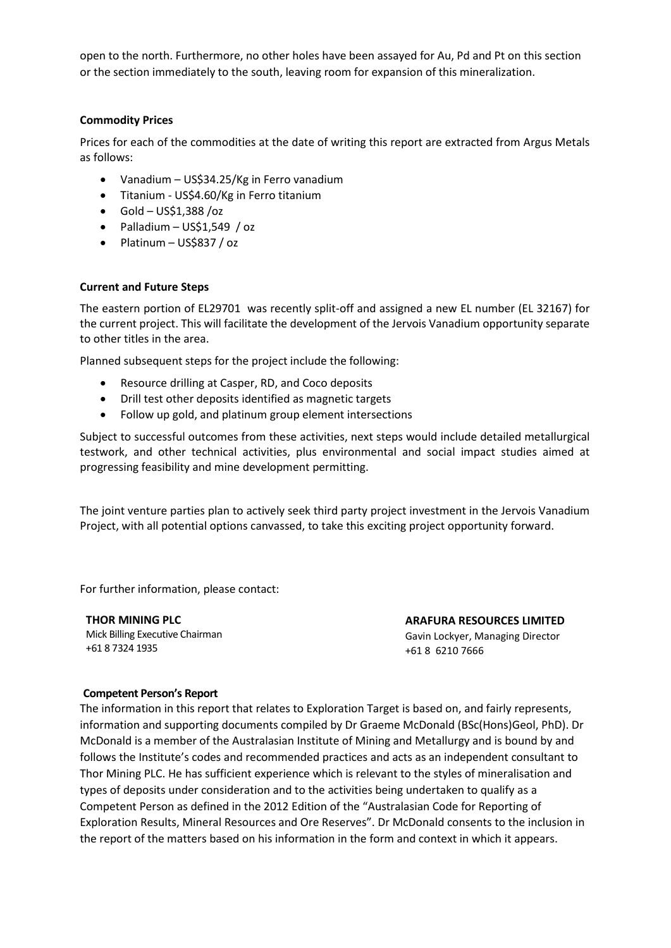open to the north. Furthermore, no other holes have been assayed for Au, Pd and Pt on this section or the section immediately to the south, leaving room for expansion of this mineralization.

#### **Commodity Prices**

Prices for each of the commodities at the date of writing this report are extracted from Argus Metals as follows:

- Vanadium US\$34.25/Kg in Ferro vanadium
- Titanium US\$4.60/Kg in Ferro titanium
- $\bullet$  Gold US\$1,388 /oz
- $\bullet$  Palladium US\$1,549 / oz
- Platinum US\$837 / oz

#### **Current and Future Steps**

The eastern portion of EL29701 was recently split-off and assigned a new EL number (EL 32167) for the current project. This will facilitate the development of the Jervois Vanadium opportunity separate to other titles in the area.

Planned subsequent steps for the project include the following:

- Resource drilling at Casper, RD, and Coco deposits
- Drill test other deposits identified as magnetic targets
- Follow up gold, and platinum group element intersections

Subject to successful outcomes from these activities, next steps would include detailed metallurgical testwork, and other technical activities, plus environmental and social impact studies aimed at progressing feasibility and mine development permitting.

The joint venture parties plan to actively seek third party project investment in the Jervois Vanadium Project, with all potential options canvassed, to take this exciting project opportunity forward.

For further information, please contact:

**THOR MINING PLC** Mick Billing Executive Chairman +61 8 7324 1935

**ARAFURA RESOURCES LIMITED**

Gavin Lockyer, Managing Director +61 8 6210 7666

#### **Competent Person's Report**

The information in this report that relates to Exploration Target is based on, and fairly represents, information and supporting documents compiled by Dr Graeme McDonald (BSc(Hons)Geol, PhD). Dr McDonald is a member of the Australasian Institute of Mining and Metallurgy and is bound by and follows the Institute's codes and recommended practices and acts as an independent consultant to Thor Mining PLC. He has sufficient experience which is relevant to the styles of mineralisation and types of deposits under consideration and to the activities being undertaken to qualify as a Competent Person as defined in the 2012 Edition of the "Australasian Code for Reporting of Exploration Results, Mineral Resources and Ore Reserves". Dr McDonald consents to the inclusion in the report of the matters based on his information in the form and context in which it appears.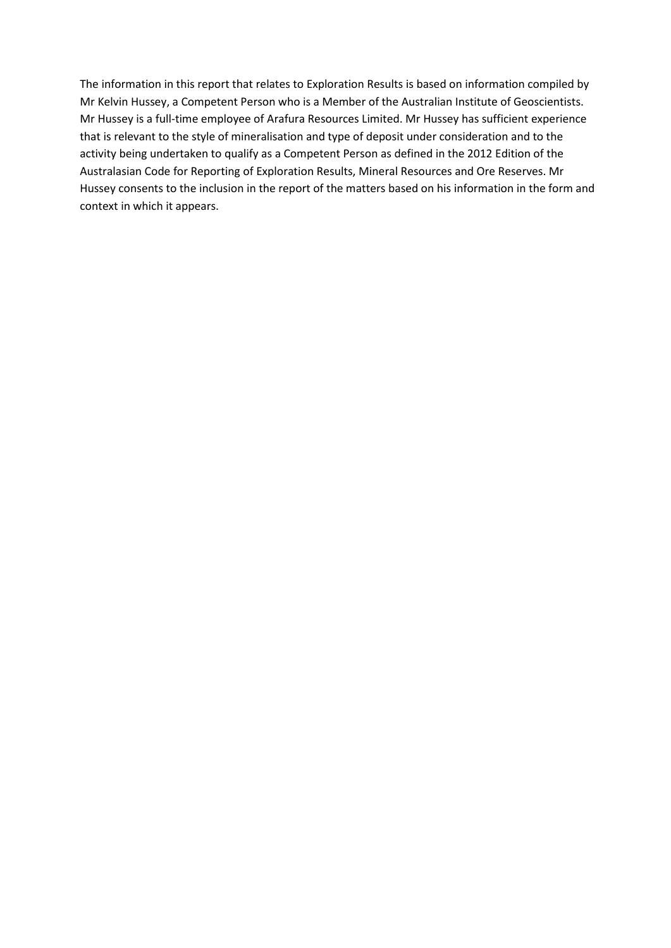The information in this report that relates to Exploration Results is based on information compiled by Mr Kelvin Hussey, a Competent Person who is a Member of the Australian Institute of Geoscientists. Mr Hussey is a full-time employee of Arafura Resources Limited. Mr Hussey has sufficient experience that is relevant to the style of mineralisation and type of deposit under consideration and to the activity being undertaken to qualify as a Competent Person as defined in the 2012 Edition of the Australasian Code for Reporting of Exploration Results, Mineral Resources and Ore Reserves. Mr Hussey consents to the inclusion in the report of the matters based on his information in the form and context in which it appears.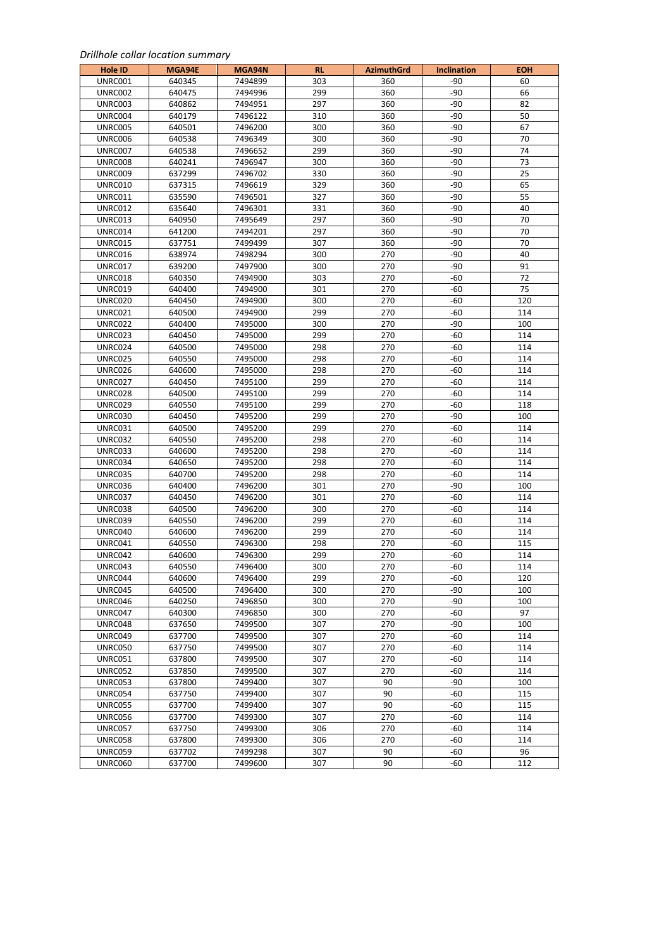#### *Drillhole collar location summary*

| Hole ID        | MGA94E | MGA94N  | <b>RL</b> | <b>AzimuthGrd</b> | <b>Inclination</b> | ГОН |
|----------------|--------|---------|-----------|-------------------|--------------------|-----|
| UNRC001        | 640345 | 7494899 | 303       | 360               | -90                | 60  |
| UNRC002        | 640475 | 7494996 | 299       | 360               | $-90$              | 66  |
| UNRC003        | 640862 | 7494951 | 297       | 360               | -90                | 82  |
| UNRC004        | 640179 | 7496122 | 310       | 360               | -90                | 50  |
| UNRC005        | 640501 | 7496200 | 300       | 360               | -90                | 67  |
| UNRC006        | 640538 | 7496349 | 300       | 360               | -90                | 70  |
| UNRC007        | 640538 | 7496652 | 299       | 360               | -90                | 74  |
| UNRC008        | 640241 | 7496947 | 300       | 360               | $-90$              | 73  |
| UNRC009        | 637299 | 7496702 | 330       | 360               | $-90$              | 25  |
| UNRC010        | 637315 | 7496619 | 329       | 360               | -90                | 65  |
| UNRC011        | 635590 | 7496501 | 327       | 360               | -90                | 55  |
| UNRC012        | 635640 | 7496301 | 331       | 360               | -90                | 40  |
| UNRC013        | 640950 | 7495649 | 297       | 360               | $-90$              | 70  |
| UNRC014        | 641200 | 7494201 | 297       | 360               | -90                | 70  |
| UNRC015        | 637751 | 7499499 | 307       | 360               | $-90$              | 70  |
| UNRC016        | 638974 | 7498294 | 300       | 270               | -90                | 40  |
| UNRC017        | 639200 | 7497900 | 300       | 270               | -90                | 91  |
| UNRC018        | 640350 | 7494900 | 303       | 270               | -60                | 72  |
| UNRC019        | 640400 | 7494900 | 301       | 270               | $-60$              | 75  |
| UNRC020        | 640450 | 7494900 | 300       | 270               | -60                | 120 |
| UNRC021        | 640500 | 7494900 | 299       | 270               | -60                | 114 |
| UNRC022        | 640400 | 7495000 | 300       | 270               | $-90$              | 100 |
| UNRC023        | 640450 | 7495000 | 299       | 270               | -60                | 114 |
| UNRC024        | 640500 | 7495000 | 298       | 270               | -60                | 114 |
| UNRC025        | 640550 | 7495000 | 298       | 270               | -60                | 114 |
| UNRC026        | 640600 | 7495000 | 298       | 270               | $-60$              | 114 |
| UNRC027        | 640450 | 7495100 | 299       | 270               | -60                | 114 |
| UNRC028        | 640500 | 7495100 | 299       | 270               | -60                | 114 |
| UNRC029        | 640550 | 7495100 | 299       | 270               | $-60$              | 118 |
| UNRC030        | 640450 | 7495200 | 299       | 270               | $-90$              | 100 |
| UNRC031        | 640500 | 7495200 | 299       | 270               | -60                | 114 |
| UNRC032        | 640550 | 7495200 | 298       | 270               | -60                | 114 |
| UNRC033        | 640600 | 7495200 | 298       | 270               | -60                | 114 |
| UNRC034        | 640650 | 7495200 | 298       | 270               | -60                | 114 |
| UNRC035        | 640700 | 7495200 | 298       | 270               | -60                | 114 |
| UNRC036        | 640400 | 7496200 | 301       | 270               | -90                | 100 |
| UNRC037        | 640450 | 7496200 | 301       | 270               | -60                | 114 |
| UNRC038        | 640500 | 7496200 | 300       | 270               | -60                | 114 |
| UNRC039        | 640550 | 7496200 | 299       | 270               | -60                | 114 |
| UNRC040        | 640600 | 7496200 | 299       | 270               | -60                | 114 |
| UNRC041        | 640550 | 7496300 | 298       | 270               | -60                | 115 |
| UNRC042        | 640600 | 7496300 | 299       | 270               | -60                | 114 |
| UNRC043        | 640550 | 7496400 | 300       | 270               | -60                | 114 |
| UNRC044        | 640600 | 7496400 | 299       | 270               | -60                | 120 |
| UNRC045        | 640500 | 7496400 | 300       | 270               | -90                | 100 |
| UNRC046        | 640250 | 7496850 | 300       | 270               | -90                | 100 |
| UNRC047        | 640300 | 7496850 | 300       | 270               | -60                | 97  |
| UNRC048        | 637650 | 7499500 | 307       | 270               | -90                | 100 |
| UNRC049        | 637700 | 7499500 | 307       | 270               | -60                | 114 |
| UNRC050        | 637750 | 7499500 | 307       | 270               | -60                | 114 |
| <b>UNRC051</b> | 637800 | 7499500 | 307       | 270               | -60                | 114 |
| <b>UNRC052</b> | 637850 | 7499500 | 307       | 270               | -60                | 114 |
| UNRC053        | 637800 | 7499400 | 307       | 90                | -90                | 100 |
| UNRC054        | 637750 | 7499400 | 307       | 90                | -60                | 115 |
| <b>UNRC055</b> | 637700 | 7499400 | 307       | 90                | -60                | 115 |
| UNRC056        | 637700 | 7499300 | 307       | 270               | -60                | 114 |
| UNRC057        | 637750 | 7499300 | 306       | 270               | -60                | 114 |
| <b>UNRC058</b> | 637800 | 7499300 | 306       | 270               | -60                | 114 |
| UNRC059        | 637702 | 7499298 | 307       | 90                | -60                | 96  |
| UNRC060        | 637700 | 7499600 | 307       | 90                | -60                | 112 |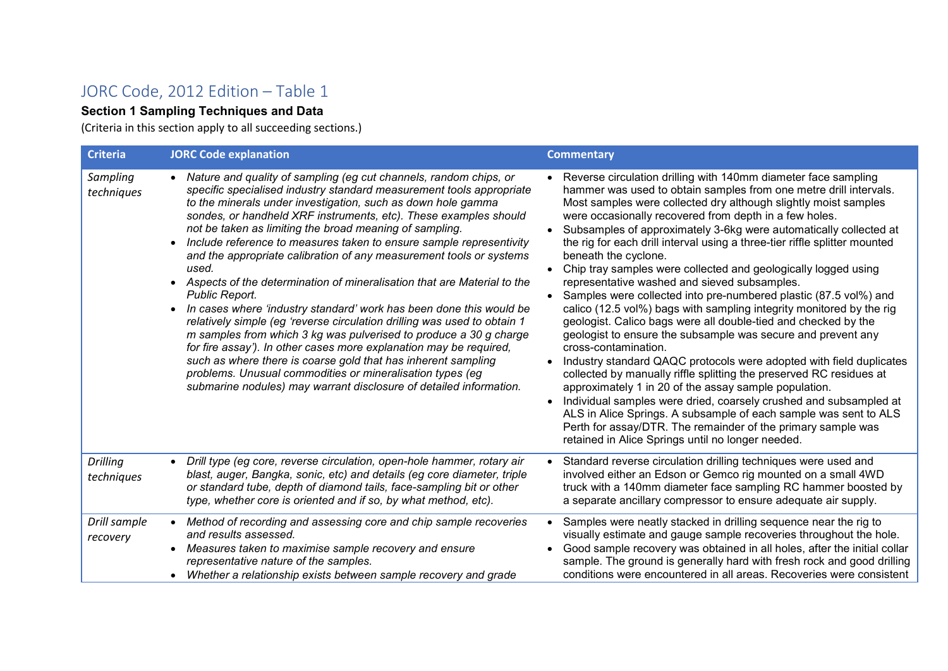# JORC Code, 2012 Edition – Table 1

### **Section 1 Sampling Techniques and Data**

(Criteria in this section apply to all succeeding sections.)

| <b>Criteria</b>               | <b>JORC Code explanation</b>                                                                                                                                                                                                                                                                                                                                                                                                                                                                                                                                                                                                                                                                                                                                                                                                                                                                                                                                                                                                                                                                     | <b>Commentary</b>                                                                                                                                                                                                                                                                                                                                                                                                                                                                                                                                                                                                                                                                                                                                                                                                                                                                                                                                                                                                                                                                                                                                                                                                                                                                                                                                                               |
|-------------------------------|--------------------------------------------------------------------------------------------------------------------------------------------------------------------------------------------------------------------------------------------------------------------------------------------------------------------------------------------------------------------------------------------------------------------------------------------------------------------------------------------------------------------------------------------------------------------------------------------------------------------------------------------------------------------------------------------------------------------------------------------------------------------------------------------------------------------------------------------------------------------------------------------------------------------------------------------------------------------------------------------------------------------------------------------------------------------------------------------------|---------------------------------------------------------------------------------------------------------------------------------------------------------------------------------------------------------------------------------------------------------------------------------------------------------------------------------------------------------------------------------------------------------------------------------------------------------------------------------------------------------------------------------------------------------------------------------------------------------------------------------------------------------------------------------------------------------------------------------------------------------------------------------------------------------------------------------------------------------------------------------------------------------------------------------------------------------------------------------------------------------------------------------------------------------------------------------------------------------------------------------------------------------------------------------------------------------------------------------------------------------------------------------------------------------------------------------------------------------------------------------|
| Sampling<br>techniques        | Nature and quality of sampling (eg cut channels, random chips, or<br>specific specialised industry standard measurement tools appropriate<br>to the minerals under investigation, such as down hole gamma<br>sondes, or handheld XRF instruments, etc). These examples should<br>not be taken as limiting the broad meaning of sampling.<br>Include reference to measures taken to ensure sample representivity<br>and the appropriate calibration of any measurement tools or systems<br>used.<br>• Aspects of the determination of mineralisation that are Material to the<br>Public Report.<br>In cases where 'industry standard' work has been done this would be<br>relatively simple (eg 'reverse circulation drilling was used to obtain 1<br>m samples from which 3 kg was pulverised to produce a 30 g charge<br>for fire assay'). In other cases more explanation may be required,<br>such as where there is coarse gold that has inherent sampling<br>problems. Unusual commodities or mineralisation types (eg<br>submarine nodules) may warrant disclosure of detailed information. | Reverse circulation drilling with 140mm diameter face sampling<br>hammer was used to obtain samples from one metre drill intervals.<br>Most samples were collected dry although slightly moist samples<br>were occasionally recovered from depth in a few holes.<br>Subsamples of approximately 3-6kg were automatically collected at<br>the rig for each drill interval using a three-tier riffle splitter mounted<br>beneath the cyclone.<br>Chip tray samples were collected and geologically logged using<br>$\bullet$<br>representative washed and sieved subsamples.<br>Samples were collected into pre-numbered plastic (87.5 vol%) and<br>$\bullet$<br>calico (12.5 vol%) bags with sampling integrity monitored by the rig<br>geologist. Calico bags were all double-tied and checked by the<br>geologist to ensure the subsample was secure and prevent any<br>cross-contamination.<br>Industry standard QAQC protocols were adopted with field duplicates<br>$\bullet$<br>collected by manually riffle splitting the preserved RC residues at<br>approximately 1 in 20 of the assay sample population.<br>Individual samples were dried, coarsely crushed and subsampled at<br>ALS in Alice Springs. A subsample of each sample was sent to ALS<br>Perth for assay/DTR. The remainder of the primary sample was<br>retained in Alice Springs until no longer needed. |
| <b>Drilling</b><br>techniques | Drill type (eg core, reverse circulation, open-hole hammer, rotary air<br>$\bullet$<br>blast, auger, Bangka, sonic, etc) and details (eg core diameter, triple<br>or standard tube, depth of diamond tails, face-sampling bit or other<br>type, whether core is oriented and if so, by what method, etc).                                                                                                                                                                                                                                                                                                                                                                                                                                                                                                                                                                                                                                                                                                                                                                                        | Standard reverse circulation drilling techniques were used and<br>involved either an Edson or Gemco rig mounted on a small 4WD<br>truck with a 140mm diameter face sampling RC hammer boosted by<br>a separate ancillary compressor to ensure adequate air supply.                                                                                                                                                                                                                                                                                                                                                                                                                                                                                                                                                                                                                                                                                                                                                                                                                                                                                                                                                                                                                                                                                                              |
| Drill sample<br>recovery      | Method of recording and assessing core and chip sample recoveries<br>and results assessed.<br>Measures taken to maximise sample recovery and ensure<br>representative nature of the samples.<br>• Whether a relationship exists between sample recovery and grade                                                                                                                                                                                                                                                                                                                                                                                                                                                                                                                                                                                                                                                                                                                                                                                                                                | Samples were neatly stacked in drilling sequence near the rig to<br>visually estimate and gauge sample recoveries throughout the hole.<br>Good sample recovery was obtained in all holes, after the initial collar<br>sample. The ground is generally hard with fresh rock and good drilling<br>conditions were encountered in all areas. Recoveries were consistent                                                                                                                                                                                                                                                                                                                                                                                                                                                                                                                                                                                                                                                                                                                                                                                                                                                                                                                                                                                                            |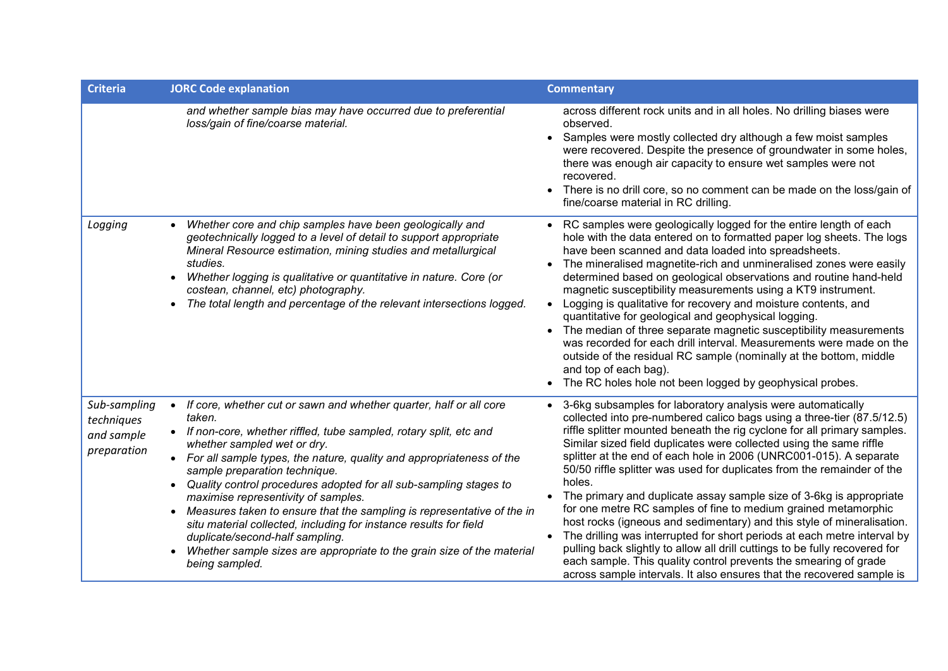| <b>Criteria</b>                                         | <b>JORC Code explanation</b>                                                                                                                                                                                                                                                                                                                                                                                                                                                                                                                                                                                                                                                                         | <b>Commentary</b>                                                                                                                                                                                                                                                                                                                                                                                                                                                                                                                                                                                                                                                                                                                                                                                                                                                                                                                                                                |
|---------------------------------------------------------|------------------------------------------------------------------------------------------------------------------------------------------------------------------------------------------------------------------------------------------------------------------------------------------------------------------------------------------------------------------------------------------------------------------------------------------------------------------------------------------------------------------------------------------------------------------------------------------------------------------------------------------------------------------------------------------------------|----------------------------------------------------------------------------------------------------------------------------------------------------------------------------------------------------------------------------------------------------------------------------------------------------------------------------------------------------------------------------------------------------------------------------------------------------------------------------------------------------------------------------------------------------------------------------------------------------------------------------------------------------------------------------------------------------------------------------------------------------------------------------------------------------------------------------------------------------------------------------------------------------------------------------------------------------------------------------------|
|                                                         | and whether sample bias may have occurred due to preferential<br>loss/gain of fine/coarse material.                                                                                                                                                                                                                                                                                                                                                                                                                                                                                                                                                                                                  | across different rock units and in all holes. No drilling biases were<br>observed.<br>Samples were mostly collected dry although a few moist samples<br>were recovered. Despite the presence of groundwater in some holes,<br>there was enough air capacity to ensure wet samples were not<br>recovered.<br>There is no drill core, so no comment can be made on the loss/gain of<br>fine/coarse material in RC drilling.                                                                                                                                                                                                                                                                                                                                                                                                                                                                                                                                                        |
| Logging                                                 | Whether core and chip samples have been geologically and<br>geotechnically logged to a level of detail to support appropriate<br>Mineral Resource estimation, mining studies and metallurgical<br>studies.<br>Whether logging is qualitative or quantitative in nature. Core (or<br>$\bullet$<br>costean, channel, etc) photography.<br>The total length and percentage of the relevant intersections logged.                                                                                                                                                                                                                                                                                        | • RC samples were geologically logged for the entire length of each<br>hole with the data entered on to formatted paper log sheets. The logs<br>have been scanned and data loaded into spreadsheets.<br>The mineralised magnetite-rich and unmineralised zones were easily<br>determined based on geological observations and routine hand-held<br>magnetic susceptibility measurements using a KT9 instrument.<br>Logging is qualitative for recovery and moisture contents, and<br>quantitative for geological and geophysical logging.<br>• The median of three separate magnetic susceptibility measurements<br>was recorded for each drill interval. Measurements were made on the<br>outside of the residual RC sample (nominally at the bottom, middle<br>and top of each bag).<br>• The RC holes hole not been logged by geophysical probes.                                                                                                                             |
| Sub-sampling<br>techniques<br>and sample<br>preparation | If core, whether cut or sawn and whether quarter, half or all core<br>$\bullet$<br>taken.<br>• If non-core, whether riffled, tube sampled, rotary split, etc and<br>whether sampled wet or dry.<br>• For all sample types, the nature, quality and appropriateness of the<br>sample preparation technique.<br>Quality control procedures adopted for all sub-sampling stages to<br>maximise representivity of samples.<br>Measures taken to ensure that the sampling is representative of the in<br>situ material collected, including for instance results for field<br>duplicate/second-half sampling.<br>Whether sample sizes are appropriate to the grain size of the material<br>being sampled. | • 3-6kg subsamples for laboratory analysis were automatically<br>collected into pre-numbered calico bags using a three-tier (87.5/12.5)<br>riffle splitter mounted beneath the rig cyclone for all primary samples.<br>Similar sized field duplicates were collected using the same riffle<br>splitter at the end of each hole in 2006 (UNRC001-015). A separate<br>50/50 riffle splitter was used for duplicates from the remainder of the<br>holes.<br>The primary and duplicate assay sample size of 3-6kg is appropriate<br>for one metre RC samples of fine to medium grained metamorphic<br>host rocks (igneous and sedimentary) and this style of mineralisation.<br>The drilling was interrupted for short periods at each metre interval by<br>pulling back slightly to allow all drill cuttings to be fully recovered for<br>each sample. This quality control prevents the smearing of grade<br>across sample intervals. It also ensures that the recovered sample is |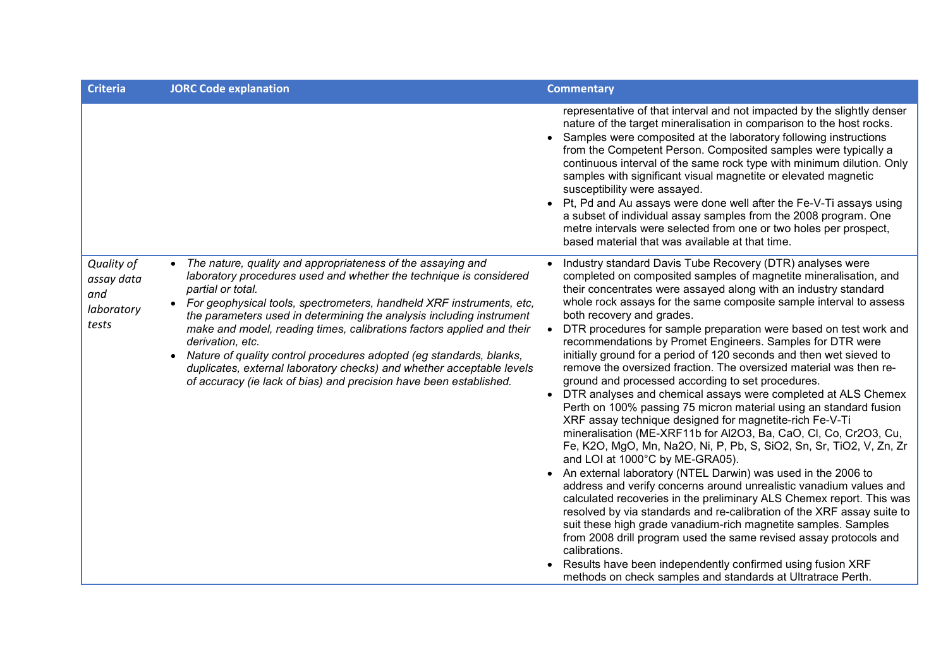| <b>Criteria</b>                                        | <b>JORC Code explanation</b>                                                                                                                                                                                                                                                                                                                                                                                                                                                                                                                                                                                                           | <b>Commentary</b>                                                                                                                                                                                                                                                                                                                                                                                                                                                                                                                                                                                                                                                                                                                                                                                                                                                                                                                                                                                                                                                                                                                                                                                                                                                                                                                                                                                                                                                                                                                                                                                     |
|--------------------------------------------------------|----------------------------------------------------------------------------------------------------------------------------------------------------------------------------------------------------------------------------------------------------------------------------------------------------------------------------------------------------------------------------------------------------------------------------------------------------------------------------------------------------------------------------------------------------------------------------------------------------------------------------------------|-------------------------------------------------------------------------------------------------------------------------------------------------------------------------------------------------------------------------------------------------------------------------------------------------------------------------------------------------------------------------------------------------------------------------------------------------------------------------------------------------------------------------------------------------------------------------------------------------------------------------------------------------------------------------------------------------------------------------------------------------------------------------------------------------------------------------------------------------------------------------------------------------------------------------------------------------------------------------------------------------------------------------------------------------------------------------------------------------------------------------------------------------------------------------------------------------------------------------------------------------------------------------------------------------------------------------------------------------------------------------------------------------------------------------------------------------------------------------------------------------------------------------------------------------------------------------------------------------------|
|                                                        |                                                                                                                                                                                                                                                                                                                                                                                                                                                                                                                                                                                                                                        | representative of that interval and not impacted by the slightly denser<br>nature of the target mineralisation in comparison to the host rocks.<br>• Samples were composited at the laboratory following instructions<br>from the Competent Person. Composited samples were typically a<br>continuous interval of the same rock type with minimum dilution. Only<br>samples with significant visual magnetite or elevated magnetic<br>susceptibility were assayed.<br>• Pt, Pd and Au assays were done well after the Fe-V-Ti assays using<br>a subset of individual assay samples from the 2008 program. One<br>metre intervals were selected from one or two holes per prospect,<br>based material that was available at that time.                                                                                                                                                                                                                                                                                                                                                                                                                                                                                                                                                                                                                                                                                                                                                                                                                                                                 |
| Quality of<br>assay data<br>and<br>laboratory<br>tests | The nature, quality and appropriateness of the assaying and<br>laboratory procedures used and whether the technique is considered<br>partial or total.<br>For geophysical tools, spectrometers, handheld XRF instruments, etc,<br>$\bullet$<br>the parameters used in determining the analysis including instrument<br>make and model, reading times, calibrations factors applied and their<br>derivation, etc.<br>Nature of quality control procedures adopted (eg standards, blanks,<br>duplicates, external laboratory checks) and whether acceptable levels<br>of accuracy (ie lack of bias) and precision have been established. | Industry standard Davis Tube Recovery (DTR) analyses were<br>completed on composited samples of magnetite mineralisation, and<br>their concentrates were assayed along with an industry standard<br>whole rock assays for the same composite sample interval to assess<br>both recovery and grades.<br>DTR procedures for sample preparation were based on test work and<br>recommendations by Promet Engineers. Samples for DTR were<br>initially ground for a period of 120 seconds and then wet sieved to<br>remove the oversized fraction. The oversized material was then re-<br>ground and processed according to set procedures.<br>• DTR analyses and chemical assays were completed at ALS Chemex<br>Perth on 100% passing 75 micron material using an standard fusion<br>XRF assay technique designed for magnetite-rich Fe-V-Ti<br>mineralisation (ME-XRF11b for Al2O3, Ba, CaO, Cl, Co, Cr2O3, Cu,<br>Fe, K2O, MgO, Mn, Na2O, Ni, P, Pb, S, SiO2, Sn, Sr, TiO2, V, Zn, Zr<br>and LOI at 1000°C by ME-GRA05).<br>An external laboratory (NTEL Darwin) was used in the 2006 to<br>address and verify concerns around unrealistic vanadium values and<br>calculated recoveries in the preliminary ALS Chemex report. This was<br>resolved by via standards and re-calibration of the XRF assay suite to<br>suit these high grade vanadium-rich magnetite samples. Samples<br>from 2008 drill program used the same revised assay protocols and<br>calibrations.<br>Results have been independently confirmed using fusion XRF<br>methods on check samples and standards at Ultratrace Perth. |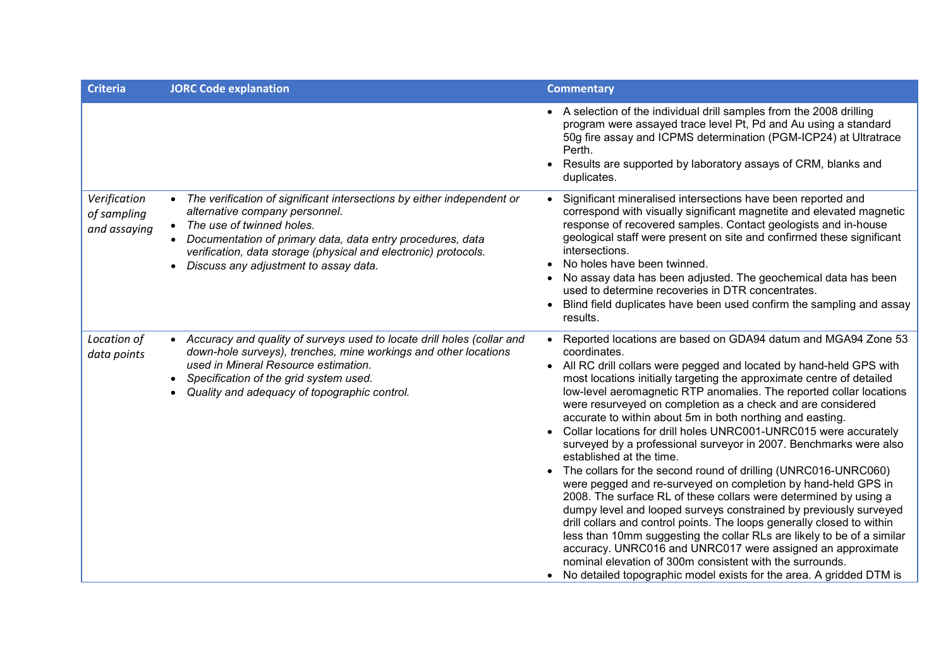| <b>Criteria</b>                             | <b>JORC Code explanation</b>                                                                                                                                                                                                                                                                                                     | <b>Commentary</b>                                                                                                                                                                                                                                                                                                                                                                                                                                                                                                                                                                                                                                                                                                                                                                                                                                                                                                                                                                                                                                                                                                                                                                                                                     |
|---------------------------------------------|----------------------------------------------------------------------------------------------------------------------------------------------------------------------------------------------------------------------------------------------------------------------------------------------------------------------------------|---------------------------------------------------------------------------------------------------------------------------------------------------------------------------------------------------------------------------------------------------------------------------------------------------------------------------------------------------------------------------------------------------------------------------------------------------------------------------------------------------------------------------------------------------------------------------------------------------------------------------------------------------------------------------------------------------------------------------------------------------------------------------------------------------------------------------------------------------------------------------------------------------------------------------------------------------------------------------------------------------------------------------------------------------------------------------------------------------------------------------------------------------------------------------------------------------------------------------------------|
|                                             |                                                                                                                                                                                                                                                                                                                                  | A selection of the individual drill samples from the 2008 drilling<br>program were assayed trace level Pt, Pd and Au using a standard<br>50g fire assay and ICPMS determination (PGM-ICP24) at Ultratrace<br>Perth.<br>Results are supported by laboratory assays of CRM, blanks and<br>duplicates.                                                                                                                                                                                                                                                                                                                                                                                                                                                                                                                                                                                                                                                                                                                                                                                                                                                                                                                                   |
| Verification<br>of sampling<br>and assaying | • The verification of significant intersections by either independent or<br>alternative company personnel.<br>• The use of twinned holes.<br>Documentation of primary data, data entry procedures, data<br>verification, data storage (physical and electronic) protocols.<br>Discuss any adjustment to assay data.<br>$\bullet$ | Significant mineralised intersections have been reported and<br>correspond with visually significant magnetite and elevated magnetic<br>response of recovered samples. Contact geologists and in-house<br>geological staff were present on site and confirmed these significant<br>intersections.<br>No holes have been twinned.<br>No assay data has been adjusted. The geochemical data has been<br>used to determine recoveries in DTR concentrates.<br>Blind field duplicates have been used confirm the sampling and assay<br>results.                                                                                                                                                                                                                                                                                                                                                                                                                                                                                                                                                                                                                                                                                           |
| Location of<br>data points                  | Accuracy and quality of surveys used to locate drill holes (collar and<br>$\bullet$<br>down-hole surveys), trenches, mine workings and other locations<br>used in Mineral Resource estimation.<br>Specification of the grid system used.<br>Quality and adequacy of topographic control.                                         | Reported locations are based on GDA94 datum and MGA94 Zone 53<br>coordinates.<br>All RC drill collars were pegged and located by hand-held GPS with<br>most locations initially targeting the approximate centre of detailed<br>low-level aeromagnetic RTP anomalies. The reported collar locations<br>were resurveyed on completion as a check and are considered<br>accurate to within about 5m in both northing and easting.<br>Collar locations for drill holes UNRC001-UNRC015 were accurately<br>surveyed by a professional surveyor in 2007. Benchmarks were also<br>established at the time.<br>The collars for the second round of drilling (UNRC016-UNRC060)<br>were pegged and re-surveyed on completion by hand-held GPS in<br>2008. The surface RL of these collars were determined by using a<br>dumpy level and looped surveys constrained by previously surveyed<br>drill collars and control points. The loops generally closed to within<br>less than 10mm suggesting the collar RLs are likely to be of a similar<br>accuracy. UNRC016 and UNRC017 were assigned an approximate<br>nominal elevation of 300m consistent with the surrounds.<br>No detailed topographic model exists for the area. A gridded DTM is |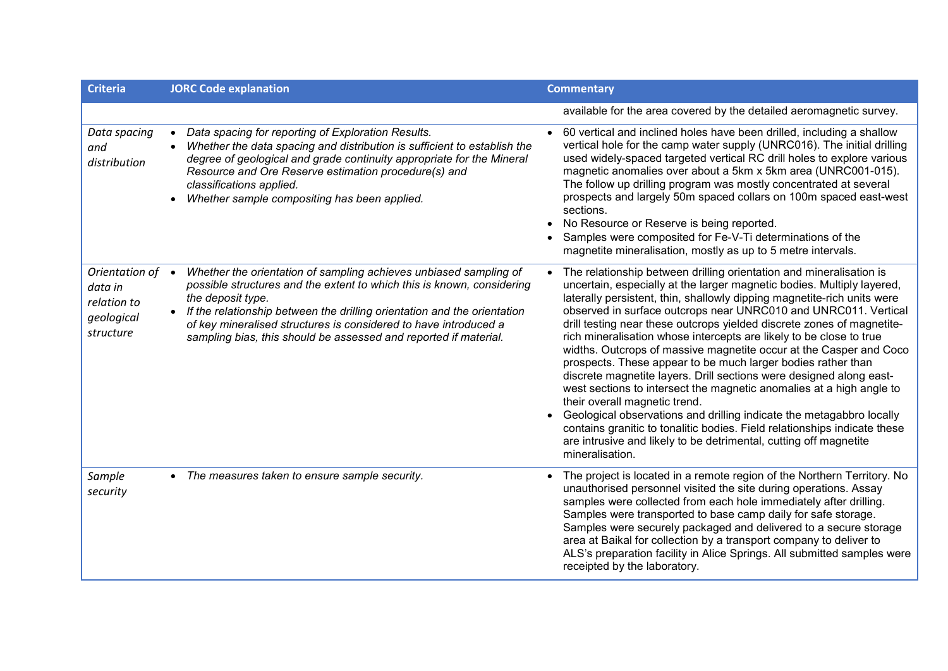| <b>Criteria</b>                                                     | <b>JORC Code explanation</b>                                                                                                                                                                                                                                                                                                                                                           | <b>Commentary</b>                                                                                                                                                                                                                                                                                                                                                                                                                                                                                                                                                                                                                                                                                                                                                                                                                                                                                                                                                                                               |
|---------------------------------------------------------------------|----------------------------------------------------------------------------------------------------------------------------------------------------------------------------------------------------------------------------------------------------------------------------------------------------------------------------------------------------------------------------------------|-----------------------------------------------------------------------------------------------------------------------------------------------------------------------------------------------------------------------------------------------------------------------------------------------------------------------------------------------------------------------------------------------------------------------------------------------------------------------------------------------------------------------------------------------------------------------------------------------------------------------------------------------------------------------------------------------------------------------------------------------------------------------------------------------------------------------------------------------------------------------------------------------------------------------------------------------------------------------------------------------------------------|
|                                                                     |                                                                                                                                                                                                                                                                                                                                                                                        | available for the area covered by the detailed aeromagnetic survey.                                                                                                                                                                                                                                                                                                                                                                                                                                                                                                                                                                                                                                                                                                                                                                                                                                                                                                                                             |
| Data spacing<br>and<br>distribution                                 | Data spacing for reporting of Exploration Results.<br>Whether the data spacing and distribution is sufficient to establish the<br>degree of geological and grade continuity appropriate for the Mineral<br>Resource and Ore Reserve estimation procedure(s) and<br>classifications applied.<br>Whether sample compositing has been applied.                                            | 60 vertical and inclined holes have been drilled, including a shallow<br>vertical hole for the camp water supply (UNRC016). The initial drilling<br>used widely-spaced targeted vertical RC drill holes to explore various<br>magnetic anomalies over about a 5km x 5km area (UNRC001-015).<br>The follow up drilling program was mostly concentrated at several<br>prospects and largely 50m spaced collars on 100m spaced east-west<br>sections.<br>No Resource or Reserve is being reported.<br>Samples were composited for Fe-V-Ti determinations of the<br>magnetite mineralisation, mostly as up to 5 metre intervals.                                                                                                                                                                                                                                                                                                                                                                                    |
| Orientation of<br>data in<br>relation to<br>geological<br>structure | Whether the orientation of sampling achieves unbiased sampling of<br>possible structures and the extent to which this is known, considering<br>the deposit type.<br>• If the relationship between the drilling orientation and the orientation<br>of key mineralised structures is considered to have introduced a<br>sampling bias, this should be assessed and reported if material. | The relationship between drilling orientation and mineralisation is<br>uncertain, especially at the larger magnetic bodies. Multiply layered,<br>laterally persistent, thin, shallowly dipping magnetite-rich units were<br>observed in surface outcrops near UNRC010 and UNRC011. Vertical<br>drill testing near these outcrops yielded discrete zones of magnetite-<br>rich mineralisation whose intercepts are likely to be close to true<br>widths. Outcrops of massive magnetite occur at the Casper and Coco<br>prospects. These appear to be much larger bodies rather than<br>discrete magnetite layers. Drill sections were designed along east-<br>west sections to intersect the magnetic anomalies at a high angle to<br>their overall magnetic trend.<br>Geological observations and drilling indicate the metagabbro locally<br>contains granitic to tonalitic bodies. Field relationships indicate these<br>are intrusive and likely to be detrimental, cutting off magnetite<br>mineralisation. |
| Sample<br>security                                                  | • The measures taken to ensure sample security.                                                                                                                                                                                                                                                                                                                                        | The project is located in a remote region of the Northern Territory. No<br>unauthorised personnel visited the site during operations. Assay<br>samples were collected from each hole immediately after drilling.<br>Samples were transported to base camp daily for safe storage.<br>Samples were securely packaged and delivered to a secure storage<br>area at Baikal for collection by a transport company to deliver to<br>ALS's preparation facility in Alice Springs. All submitted samples were<br>receipted by the laboratory.                                                                                                                                                                                                                                                                                                                                                                                                                                                                          |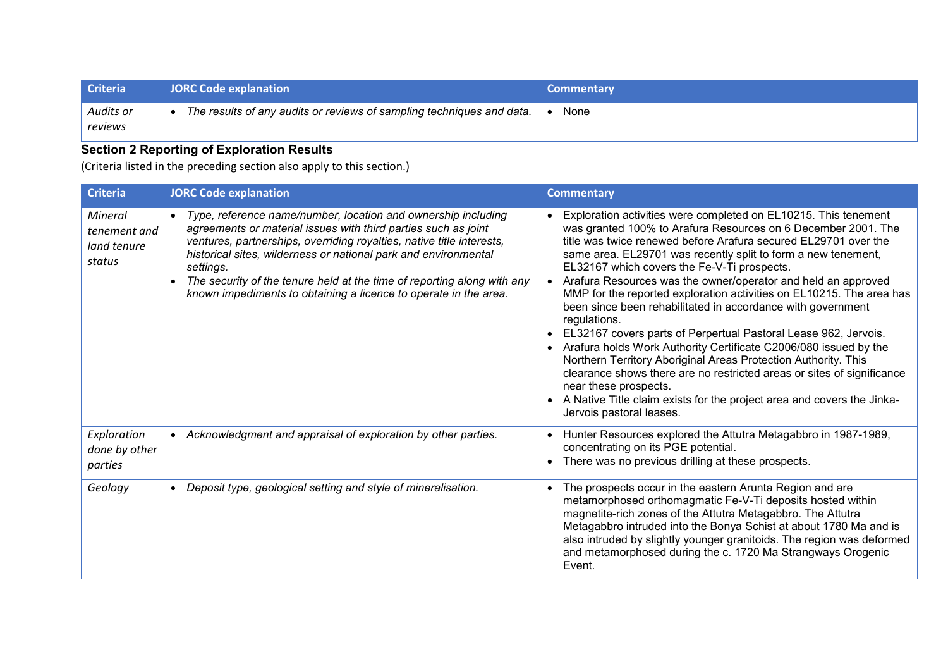| <b>Criteria</b>      | <b>JORC Code explanation</b>                                          | <b>Commentary</b> |
|----------------------|-----------------------------------------------------------------------|-------------------|
| Audits or<br>reviews | The results of any audits or reviews of sampling techniques and data. | None              |

## **Section 2 Reporting of Exploration Results**

(Criteria listed in the preceding section also apply to this section.)

| <b>Criteria</b>                                  | <b>JORC Code explanation</b>                                                                                                                                                                                                                                                                                                                                                                                                            | <b>Commentary</b>                                                                                                                                                                                                                                                                                                                                                                                                                                                                                                                                                                                                                                                                                                                                                                                                                                                                                                                                             |
|--------------------------------------------------|-----------------------------------------------------------------------------------------------------------------------------------------------------------------------------------------------------------------------------------------------------------------------------------------------------------------------------------------------------------------------------------------------------------------------------------------|---------------------------------------------------------------------------------------------------------------------------------------------------------------------------------------------------------------------------------------------------------------------------------------------------------------------------------------------------------------------------------------------------------------------------------------------------------------------------------------------------------------------------------------------------------------------------------------------------------------------------------------------------------------------------------------------------------------------------------------------------------------------------------------------------------------------------------------------------------------------------------------------------------------------------------------------------------------|
| Mineral<br>tenement and<br>land tenure<br>status | Type, reference name/number, location and ownership including<br>agreements or material issues with third parties such as joint<br>ventures, partnerships, overriding royalties, native title interests,<br>historical sites, wilderness or national park and environmental<br>settings.<br>The security of the tenure held at the time of reporting along with any<br>known impediments to obtaining a licence to operate in the area. | Exploration activities were completed on EL10215. This tenement<br>was granted 100% to Arafura Resources on 6 December 2001. The<br>title was twice renewed before Arafura secured EL29701 over the<br>same area. EL29701 was recently split to form a new tenement,<br>EL32167 which covers the Fe-V-Ti prospects.<br>Arafura Resources was the owner/operator and held an approved<br>MMP for the reported exploration activities on EL10215. The area has<br>been since been rehabilitated in accordance with government<br>regulations.<br>EL32167 covers parts of Perpertual Pastoral Lease 962, Jervois.<br>Arafura holds Work Authority Certificate C2006/080 issued by the<br>Northern Territory Aboriginal Areas Protection Authority. This<br>clearance shows there are no restricted areas or sites of significance<br>near these prospects.<br>A Native Title claim exists for the project area and covers the Jinka-<br>Jervois pastoral leases. |
| Exploration<br>done by other<br>parties          | Acknowledgment and appraisal of exploration by other parties.                                                                                                                                                                                                                                                                                                                                                                           | Hunter Resources explored the Attutra Metagabbro in 1987-1989,<br>concentrating on its PGE potential.<br>There was no previous drilling at these prospects.                                                                                                                                                                                                                                                                                                                                                                                                                                                                                                                                                                                                                                                                                                                                                                                                   |
| Geology                                          | Deposit type, geological setting and style of mineralisation.                                                                                                                                                                                                                                                                                                                                                                           | The prospects occur in the eastern Arunta Region and are<br>metamorphosed orthomagmatic Fe-V-Ti deposits hosted within<br>magnetite-rich zones of the Attutra Metagabbro. The Attutra<br>Metagabbro intruded into the Bonya Schist at about 1780 Ma and is<br>also intruded by slightly younger granitoids. The region was deformed<br>and metamorphosed during the c. 1720 Ma Strangways Orogenic<br>Event.                                                                                                                                                                                                                                                                                                                                                                                                                                                                                                                                                  |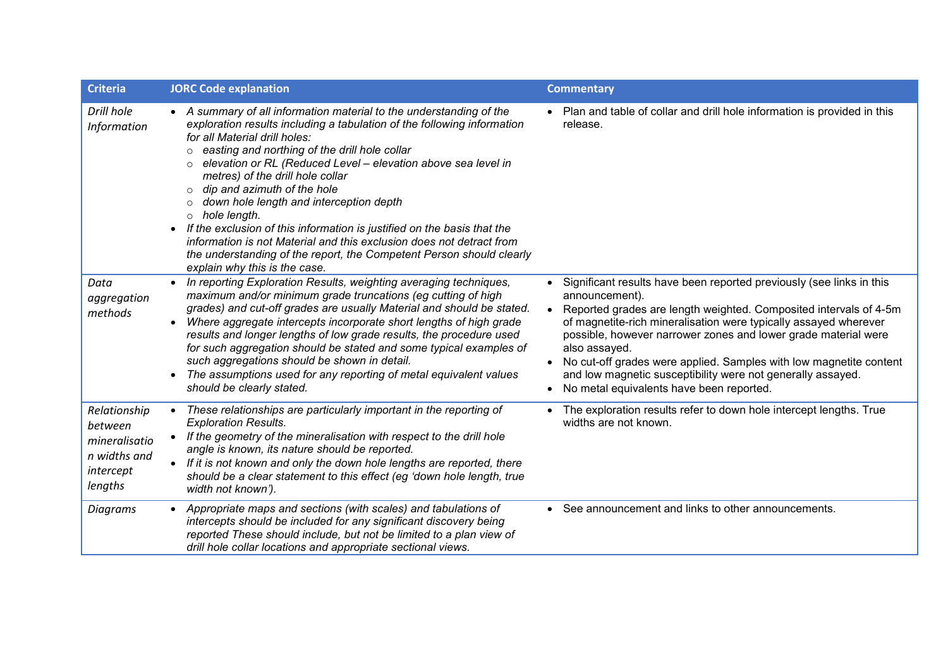| <b>Criteria</b>                                                                  | <b>JORC Code explanation</b>                                                                                                                                                                                                                                                                                                                                                                                                                                                                                                                                                                                                                                                                                                          | <b>Commentary</b>                                                                                                                                                                                                                                                                                                                                                                                                                                                                                                |
|----------------------------------------------------------------------------------|---------------------------------------------------------------------------------------------------------------------------------------------------------------------------------------------------------------------------------------------------------------------------------------------------------------------------------------------------------------------------------------------------------------------------------------------------------------------------------------------------------------------------------------------------------------------------------------------------------------------------------------------------------------------------------------------------------------------------------------|------------------------------------------------------------------------------------------------------------------------------------------------------------------------------------------------------------------------------------------------------------------------------------------------------------------------------------------------------------------------------------------------------------------------------------------------------------------------------------------------------------------|
| Drill hole<br>Information                                                        | • A summary of all information material to the understanding of the<br>exploration results including a tabulation of the following information<br>for all Material drill holes:<br>o easting and northing of the drill hole collar<br>elevation or RL (Reduced Level - elevation above sea level in<br>$\circ$<br>metres) of the drill hole collar<br>$\circ$ dip and azimuth of the hole<br>down hole length and interception depth<br>$\circ$<br>$\circ$ hole length.<br>• If the exclusion of this information is justified on the basis that the<br>information is not Material and this exclusion does not detract from<br>the understanding of the report, the Competent Person should clearly<br>explain why this is the case. | • Plan and table of collar and drill hole information is provided in this<br>release.                                                                                                                                                                                                                                                                                                                                                                                                                            |
| Data<br>aggregation<br>methods                                                   | • In reporting Exploration Results, weighting averaging techniques,<br>maximum and/or minimum grade truncations (eg cutting of high<br>grades) and cut-off grades are usually Material and should be stated.<br>Where aggregate intercepts incorporate short lengths of high grade<br>results and longer lengths of low grade results, the procedure used<br>for such aggregation should be stated and some typical examples of<br>such aggregations should be shown in detail.<br>The assumptions used for any reporting of metal equivalent values<br>should be clearly stated.                                                                                                                                                     | Significant results have been reported previously (see links in this<br>announcement).<br>Reported grades are length weighted. Composited intervals of 4-5m<br>of magnetite-rich mineralisation were typically assayed wherever<br>possible, however narrower zones and lower grade material were<br>also assayed.<br>No cut-off grades were applied. Samples with low magnetite content<br>and low magnetic susceptibility were not generally assayed.<br>No metal equivalents have been reported.<br>$\bullet$ |
| Relationship<br>between<br>mineralisatio<br>n widths and<br>intercept<br>lengths | • These relationships are particularly important in the reporting of<br><b>Exploration Results.</b><br>• If the geometry of the mineralisation with respect to the drill hole<br>angle is known, its nature should be reported.<br>• If it is not known and only the down hole lengths are reported, there<br>should be a clear statement to this effect (eg 'down hole length, true<br>width not known').                                                                                                                                                                                                                                                                                                                            | The exploration results refer to down hole intercept lengths. True<br>widths are not known.                                                                                                                                                                                                                                                                                                                                                                                                                      |
| Diagrams                                                                         | • Appropriate maps and sections (with scales) and tabulations of<br>intercepts should be included for any significant discovery being<br>reported These should include, but not be limited to a plan view of<br>drill hole collar locations and appropriate sectional views.                                                                                                                                                                                                                                                                                                                                                                                                                                                          | • See announcement and links to other announcements.                                                                                                                                                                                                                                                                                                                                                                                                                                                             |